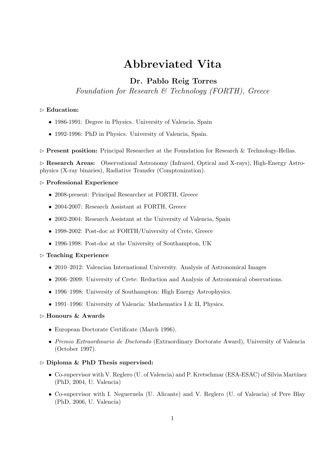# Abbreviated Vita

# Dr. Pablo Reig Torres

Foundation for Research & Technology (FORTH), Greece

### $\triangleright$  Education:

- 1986-1991: Degree in Physics. University of Valencia, Spain
- 1992-1996: PhD in Physics. University of Valencia, Spain.

 $\triangleright$  Present position: Principal Researcher at the Foundation for Research & Technology-Hellas.

 $\triangleright$  Research Areas: Observational Astronomy (Infrared, Optical and X-rays), High-Energy Astrophysics (X-ray binaries), Radiative Transfer (Comptonization).

#### ✄ Professional Experience

- 2008-present: Principal Researcher at FORTH, Greece
- 2004-2007: Research Assistant at FORTH, Greece
- 2002-2004: Research Assistant at the University of Valencia, Spain
- 1998-2002: Post-doc at FORTH/University of Crete, Greece
- 1996-1998: Post-doc at the University of Southampton, UK

#### $\triangleright$  Teaching Experience

- 2010–2012: Valencian International University. Analysis of Astronomical Images
- 2006–2009: University of Crete: Reduction and Analysis of Astronomical observations.
- 1996–1998: University of Southampton: High Energy Astrophysics.
- 1991–1996: University of Valencia: Mathematics I & II, Physics.

#### $\triangleright$  Honours & Awards

- European Doctorate Certificate (March 1996).
- Premio Extraordinario de Doctorado (Extraordinary Doctorate Award), University of Valencia (October 1997).

#### $\triangleright$  Diploma & PhD Thesis supervised:

- Co-supervisor with V. Reglero (U. of Valencia) and P. Kretschmar (ESA-ESAC) of Silvia Martínez (PhD, 2004, U. Valencia)
- Co-supervisor with I. Negueruela (U. Alicante) and V. Reglero (U. of Valencia) of Pere Blay (PhD, 2006, U. Valencia)